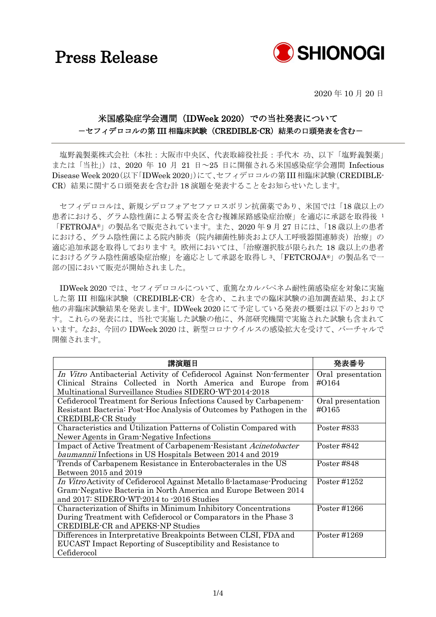## Press Release



2020 年 10 月 20 日

ć,

### 米国感染症学会週間(IDWeek 2020)での当社発表について -セフィデロコルの第 III 相臨床試験(CREDIBLE-CR)結果の口頭発表を含む-

塩野義製薬株式会社(本社:大阪市中央区、代表取締役社長:手代木 功、以下「塩野義製薬」 または「当社」)は、2020 年 10 月 21 日~25 日に開催される米国感染症学会週間 Infectious Disease Week 2020(以下「IDWeek 2020」)にて、セフィデロコルの第III相臨床試験(CREDIBLE-CR)結果に関する口頭発表を含む計 18 演題を発表することをお知らせいたします。

セフィデロコルは、新規シデロフォアセファロスポリン抗菌薬であり、米国では「18 歳以上の 患者における、グラム陰性菌による腎盂炎を含む複雑尿路感染症治療」を適応に承認を取得後 <sup>1</sup> 「FETROJA®」の製品名で販売されています。また、2020 年 9 月 27 日には、「18 歳以上の患者 における、グラム陰性菌による院内肺炎(院内細菌性肺炎および人工呼吸器関連肺炎)治療」の 適応追加承認を取得しております <sup>2</sup>。欧州においては、「治療選択肢が限られた 18 歳以上の患者 におけるグラム陰性菌感染症治療」を適応として承認を取得し <sup>3</sup>、「FETCROJA®」の製品名で一 部の国において販売が開始されました。

IDWeek 2020 では、セフィデロコルについて、重篤なカルバペネム耐性菌感染症を対象に実施 した第 III 相臨床試験(CREDIBLE-CR)を含め、これまでの臨床試験の追加調査結果、および 他の非臨床試験結果を発表します。IDWeek 2020 にて予定している発表の概要は以下のとおりで す。これらの発表には、当社で実施した試験の他に、外部研究機関で実施された試験も含まれて います。なお、今回の IDWeek 2020 は、新型コロナウイルスの感染拡大を受けて、バーチャルで 開催されます。

| 講演題目                                                                   | 举表举号              |
|------------------------------------------------------------------------|-------------------|
| In Vitro Antibacterial Activity of Cefiderocol Against Non-fermenter   | Oral presentation |
| Clinical Strains Collected in North America and Europe from            | $\#O164$          |
| Multinational Surveillance Studies SIDERO-WT-2014-2018                 |                   |
| Cefiderocol Treatment for Serious Infections Caused by Carbapenem-     | Oral presentation |
| Resistant Bacteria: Post-Hoc Analysis of Outcomes by Pathogen in the   | $\#O165$          |
| CREDIBLE-CR Study                                                      |                   |
| Characteristics and Utilization Patterns of Colistin Compared with     | Poster #833       |
| Newer Agents in Gram-Negative Infections                               |                   |
| Impact of Active Treatment of Carbapenem-Resistant Acinetobacter       | Poster #842       |
| <i>baumannii</i> Infections in US Hospitals Between 2014 and 2019      |                   |
| Trends of Carbapenem Resistance in Enterobacterales in the US          | Poster #848       |
| Between 2015 and 2019                                                  |                   |
| In Vitro Activity of Cefiderocol Against Metallo 6-lactamase-Producing | Poster #1252      |
| Gram-Negative Bacteria in North America and Europe Between 2014        |                   |
| and 2017: SIDERO-WT-2014 to -2016 Studies                              |                   |
| Characterization of Shifts in Minimum Inhibitory Concentrations        | Poster #1266      |
| During Treatment with Cefiderocol or Comparators in the Phase 3        |                   |
| <b>CREDIBLE-CR and APEKS-NP Studies</b>                                |                   |
| Differences in Interpretative Breakpoints Between CLSI, FDA and        | Poster #1269      |
| EUCAST Impact Reporting of Susceptibility and Resistance to            |                   |
| Cefiderocol                                                            |                   |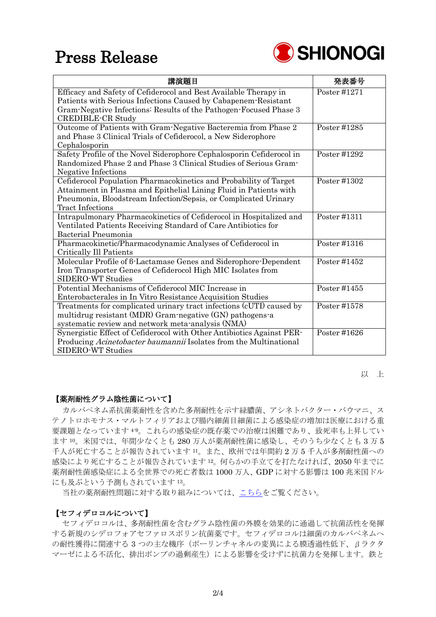## Press Release



| 講演題目                                                                                                                                                                                                                                 | 発表番号         |
|--------------------------------------------------------------------------------------------------------------------------------------------------------------------------------------------------------------------------------------|--------------|
| Efficacy and Safety of Cefiderocol and Best Available Therapy in<br>Patients with Serious Infections Caused by Cabapenem-Resistant<br>Gram-Negative Infections: Results of the Pathogen-Focused Phase 3<br><b>CREDIBLE-CR Study</b>  | Poster #1271 |
| Outcome of Patients with Gram-Negative Bacteremia from Phase 2<br>and Phase 3 Clinical Trials of Cefiderocol, a New Siderophore<br>Cephalosporin                                                                                     | Poster #1285 |
| Safety Profile of the Novel Siderophore Cephalosporin Cefiderocol in<br>Randomized Phase 2 and Phase 3 Clinical Studies of Serious Gram-<br><b>Negative Infections</b>                                                               | Poster #1292 |
| Cefiderocol Population Pharmacokinetics and Probability of Target<br>Attainment in Plasma and Epithelial Lining Fluid in Patients with<br>Pneumonia, Bloodstream Infection/Sepsis, or Complicated Urinary<br><b>Tract Infections</b> | Poster #1302 |
| Intrapulmonary Pharmacokinetics of Cefiderocol in Hospitalized and<br>Ventilated Patients Receiving Standard of Care Antibiotics for<br>Bacterial Pneumonia                                                                          | Poster #1311 |
| Pharmacokinetic/Pharmacodynamic Analyses of Cefiderocol in<br>Critically Ill Patients                                                                                                                                                | Poster #1316 |
| Molecular Profile of 6-Lactamase Genes and Siderophore-Dependent<br>Iron Transporter Genes of Cefiderocol High MIC Isolates from<br><b>SIDERO-WT Studies</b>                                                                         | Poster #1452 |
| Potential Mechanisms of Cefiderocol MIC Increase in<br>Enterobacterales in In Vitro Resistance Acquisition Studies                                                                                                                   | Poster #1455 |
| Treatments for complicated urinary tract infections (cUTI) caused by<br>multidrug resistant (MDR) Gram-negative (GN) pathogens-a<br>systematic review and network meta-analysis (NMA)                                                | Poster #1578 |
| Synergistic Effect of Cefiderocol with Other Antibiotics Against PER-<br>Producing Acinetobacter baumannii Isolates from the Multinational<br>SIDERO-WT Studies                                                                      | Poster #1626 |

以 上

#### 【薬剤耐性グラム陰性菌について】

カルバペネム系抗菌薬耐性を含めた多剤耐性を示す緑膿菌、アシネトバクター・バウマニ、ス テノトロホモナス・マルトフィリアおよび腸内細菌目細菌による感染症の増加は医療における重 要課題となっています 49。これらの感染症の既存薬での治療は困難であり、致死率も上昇してい ます <sup>10</sup>。米国では、年間少なくとも 280 万人が薬剤耐性菌に感染し、そのうち少なくとも 3 万 5 千人が死亡することが報告されています <sup>11</sup>。また、欧州では年間約 2 万 5 千人が多剤耐性菌への 感染により死亡することが報告されています <sup>12</sup>。何らかの手立てを打たなければ、2050 年までに 薬剤耐性菌感染症による全世界での死亡者数は 1000 万人、GDP に対する影響は 100 兆米国ドル にも及ぶという予測もされています <sup>13</sup>。

当社の薬剤耐性問題に対する取り組みについては[、こちらを](https://www.shionogi.com/jp/ja/sustainability/amr.html)ご覧ください。

#### 【セフィデロコルについて】

セフィデロコルは、多剤耐性菌を含むグラム陰性菌の外膜を効果的に通過して抗菌活性を発揮 する新規のシデロフォアセファロスポリン抗菌薬です。セフィデロコルは細菌のカルバペネムへ の耐性獲得に関連する 3 つの主な機序(ポーリンチャネルの変異による膜透過性低下、βラクタ マーゼによる不活化、排出ポンプの過剰産生)による影響を受けずに抗菌力を発揮します。鉄と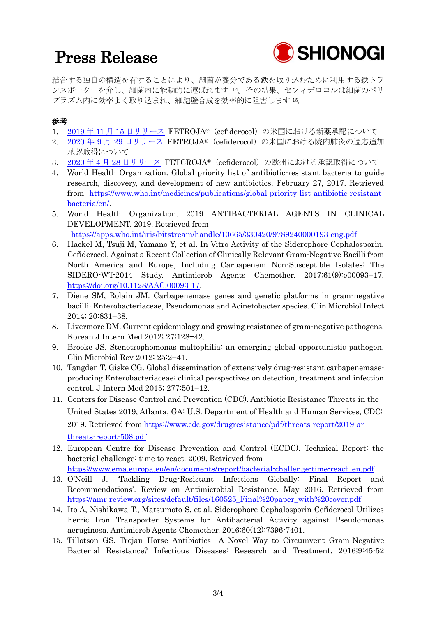# Press Release



結合する独自の構造を有することにより、細菌が養分である鉄を取り込むために利用する鉄トラ ンスポーターを介し、細菌内に能動的に運ばれます <sup>14</sup>。その結果、セフィデロコルは細菌のペリ プラズム内に効率よく取り込まれ、細胞壁合成を効率的に阻害します <sup>15</sup>。

### 参考

- 1. 2019 年 11 月 15 [日リリース](https://www.shionogi.com/content/dam/shionogi/jp/news/pdf/2019/191115.pdf) FETROJA®(cefiderocol)の米国における新薬承認について
- 2. 2020 年 9 月 29 [日リリース](https://www.shionogi.com/content/dam/shionogi/jp/news/pdf/2020/09/200929.pdf) FETROJA®(cefiderocol)の米国における院内肺炎の適応追加 承認取得について
- 3. 2020 年 4 月 28 [日リリース](https://www.shionogi.com/content/dam/shionogi/jp/news/pdf/2020/04/200428.pdf) FETCROJA®(cefiderocol)の欧州における承認取得について
- 4. World Health Organization. Global priority list of antibiotic-resistant bacteria to guide research, discovery, and development of new antibiotics. February 27, 2017. Retrieved from [https://www.who.int/medicines/publications/global-priority-list-antibiotic-resistant](https://www.who.int/medicines/publications/global-priority-list-antibiotic-resistant-bacteria/en/)[bacteria/en/.](https://www.who.int/medicines/publications/global-priority-list-antibiotic-resistant-bacteria/en/)
- 5. World Health Organization. 2019 ANTIBACTERIAL AGENTS IN CLINICAL DEVELOPMENT. 2019. Retrieved from <https://apps.who.int/iris/bitstream/handle/10665/330420/9789240000193-eng.pdf>
- 6. Hackel M, Tsuji M, Yamano Y, et al. In Vitro Activity of the Siderophore Cephalosporin, Cefiderocol, Against a Recent Collection of Clinically Relevant Gram-Negative Bacilli from North America and Europe, Including Carbapenem Non-Susceptible Isolates: The SIDERO-WT-2014 Study. Antimicrob Agents Chemother. 2017;61(9):e00093−17. [https://doi.org/10.1128/AAC.00093-17.](https://doi.org/10.1128/AAC.00093-17)
- 7. Diene SM, Rolain JM. Carbapenemase genes and genetic platforms in gram-negative bacilli: Enterobacteriaceae, Pseudomonas and Acinetobacter species. Clin Microbiol Infect 2014; 20:831−38.
- 8. Livermore DM. Current epidemiology and growing resistance of gram-negative pathogens. Korean J Intern Med 2012; 27:128−42.
- 9. Brooke JS. Stenotrophomonas maltophilia: an emerging global opportunistic pathogen. Clin Microbiol Rev 2012; 25:2−41.
- 10. Tangden T, Giske CG. Global dissemination of extensively drug-resistant carbapenemaseproducing Enterobacteriaceae: clinical perspectives on detection, treatment and infection control. J Intern Med 2015; 277:501−12.
- 11. Centers for Disease Control and Prevention (CDC). Antibiotic Resistance Threats in the United States 2019, Atlanta, GA: U.S. Department of Health and Human Services, CDC; 2019. Retrieved from [https://www.cdc.gov/drugresistance/pdf/threats-report/2019-ar](https://www.cdc.gov/drugresistance/pdf/threats-report/2019-ar-threats-report-508.pdf)[threats-report-508.pdf](https://www.cdc.gov/drugresistance/pdf/threats-report/2019-ar-threats-report-508.pdf)
- 12. European Centre for Disease Prevention and Control (ECDC). Technical Report: the bacterial challenge: time to react. 2009. Retrieved from [https://www.ema.europa.eu/en/documents/report/bacterial-challenge-time-react\\_en.pdf](https://www.ema.europa.eu/en/documents/report/bacterial-challenge-time-react_en.pdf)
- 13. O'Neill J. 'Tackling Drug-Resistant Infections Globally: Final Report and Recommendations'. Review on Antimicrobial Resistance. May 2016. Retrieved from [https://amr-review.org/sites/default/files/160525\\_Final%20paper\\_with%20cover.pdf](https://amr-review.org/sites/default/files/160525_Final%20paper_with%20cover.pdf)
- 14. Ito A, Nishikawa T., Matsumoto S, et al. Siderophore Cephalosporin Cefiderocol Utilizes Ferric Iron Transporter Systems for Antibacterial Activity against Pseudomonas aeruginosa. Antimicrob Agents Chemother. 2016;60(12):7396-7401.
- 15. Tillotson GS. Trojan Horse Antibiotics—A Novel Way to Circumvent Gram-Negative Bacterial Resistance? Infectious Diseases: Research and Treatment. 2016;9:45-52